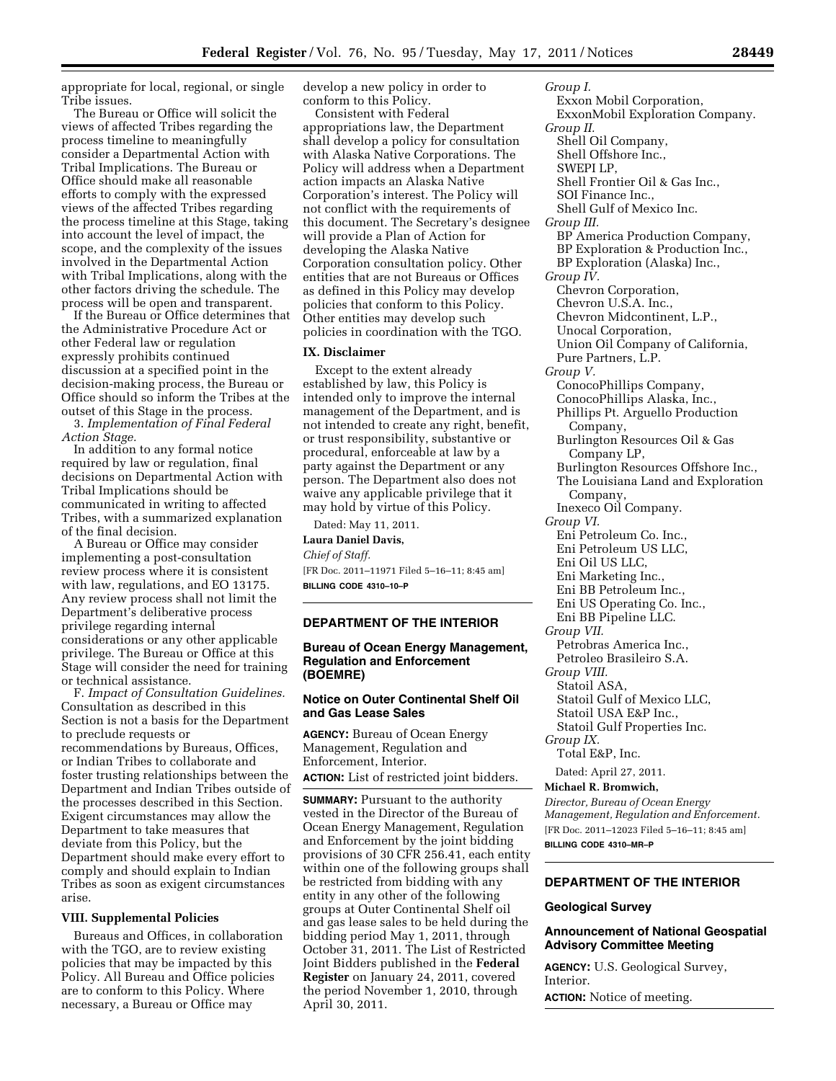appropriate for local, regional, or single Tribe issues.

The Bureau or Office will solicit the views of affected Tribes regarding the process timeline to meaningfully consider a Departmental Action with Tribal Implications. The Bureau or Office should make all reasonable efforts to comply with the expressed views of the affected Tribes regarding the process timeline at this Stage, taking into account the level of impact, the scope, and the complexity of the issues involved in the Departmental Action with Tribal Implications, along with the other factors driving the schedule. The process will be open and transparent.

If the Bureau or Office determines that the Administrative Procedure Act or other Federal law or regulation expressly prohibits continued discussion at a specified point in the decision-making process, the Bureau or Office should so inform the Tribes at the outset of this Stage in the process.

3. *Implementation of Final Federal Action Stage.* 

In addition to any formal notice required by law or regulation, final decisions on Departmental Action with Tribal Implications should be communicated in writing to affected Tribes, with a summarized explanation of the final decision.

A Bureau or Office may consider implementing a post-consultation review process where it is consistent with law, regulations, and EO 13175. Any review process shall not limit the Department's deliberative process privilege regarding internal considerations or any other applicable privilege. The Bureau or Office at this Stage will consider the need for training or technical assistance.

F. *Impact of Consultation Guidelines.*  Consultation as described in this Section is not a basis for the Department to preclude requests or recommendations by Bureaus, Offices, or Indian Tribes to collaborate and foster trusting relationships between the Department and Indian Tribes outside of the processes described in this Section. Exigent circumstances may allow the Department to take measures that deviate from this Policy, but the Department should make every effort to comply and should explain to Indian Tribes as soon as exigent circumstances arise.

#### **VIII. Supplemental Policies**

Bureaus and Offices, in collaboration with the TGO, are to review existing policies that may be impacted by this Policy. All Bureau and Office policies are to conform to this Policy. Where necessary, a Bureau or Office may

develop a new policy in order to conform to this Policy.

Consistent with Federal appropriations law, the Department shall develop a policy for consultation with Alaska Native Corporations. The Policy will address when a Department action impacts an Alaska Native Corporation's interest. The Policy will not conflict with the requirements of this document. The Secretary's designee will provide a Plan of Action for developing the Alaska Native Corporation consultation policy. Other entities that are not Bureaus or Offices as defined in this Policy may develop policies that conform to this Policy. Other entities may develop such policies in coordination with the TGO.

#### **IX. Disclaimer**

Except to the extent already established by law, this Policy is intended only to improve the internal management of the Department, and is not intended to create any right, benefit, or trust responsibility, substantive or procedural, enforceable at law by a party against the Department or any person. The Department also does not waive any applicable privilege that it may hold by virtue of this Policy.

Dated: May 11, 2011. **Laura Daniel Davis,**  *Chief of Staff.*  [FR Doc. 2011–11971 Filed 5–16–11; 8:45 am] **BILLING CODE 4310–10–P** 

#### **DEPARTMENT OF THE INTERIOR**

### **Bureau of Ocean Energy Management, Regulation and Enforcement (BOEMRE)**

### **Notice on Outer Continental Shelf Oil and Gas Lease Sales**

**AGENCY:** Bureau of Ocean Energy Management, Regulation and Enforcement, Interior. **ACTION:** List of restricted joint bidders.

**SUMMARY:** Pursuant to the authority vested in the Director of the Bureau of Ocean Energy Management, Regulation and Enforcement by the joint bidding provisions of 30 CFR 256.41, each entity within one of the following groups shall be restricted from bidding with any entity in any other of the following groups at Outer Continental Shelf oil and gas lease sales to be held during the bidding period May 1, 2011, through October 31, 2011. The List of Restricted Joint Bidders published in the **Federal Register** on January 24, 2011, covered the period November 1, 2010, through April 30, 2011.

*Group I.*  Exxon Mobil Corporation, ExxonMobil Exploration Company. *Group II.*  Shell Oil Company, Shell Offshore Inc., SWEPI LP, Shell Frontier Oil & Gas Inc., SOI Finance Inc., Shell Gulf of Mexico Inc. *Group III.*  BP America Production Company, BP Exploration & Production Inc., BP Exploration (Alaska) Inc., *Group IV.*  Chevron Corporation, Chevron U.S.A. Inc., Chevron Midcontinent, L.P., Unocal Corporation, Union Oil Company of California, Pure Partners, L.P. *Group V.*  ConocoPhillips Company, ConocoPhillips Alaska, Inc., Phillips Pt. Arguello Production Company, Burlington Resources Oil & Gas Company LP, Burlington Resources Offshore Inc., The Louisiana Land and Exploration Company, Inexeco Oil Company. *Group VI.*  Eni Petroleum Co. Inc., Eni Petroleum US LLC, Eni Oil US LLC, Eni Marketing Inc., Eni BB Petroleum Inc., Eni US Operating Co. Inc., Eni BB Pipeline LLC. *Group VII.*  Petrobras America Inc., Petroleo Brasileiro S.A. *Group VIII.*  Statoil ASA, Statoil Gulf of Mexico LLC, Statoil USA E&P Inc., Statoil Gulf Properties Inc. *Group IX.*  Total E&P, Inc. Dated: April 27, 2011. **Michael R. Bromwich,** 

*Director, Bureau of Ocean Energy Management, Regulation and Enforcement.*  [FR Doc. 2011–12023 Filed 5–16–11; 8:45 am] **BILLING CODE 4310–MR–P** 

# **DEPARTMENT OF THE INTERIOR**

#### **Geological Survey**

## **Announcement of National Geospatial Advisory Committee Meeting**

**AGENCY:** U.S. Geological Survey, **Interior** 

**ACTION:** Notice of meeting.